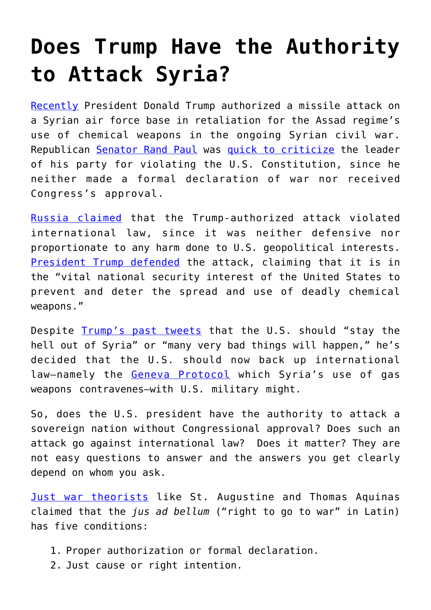## **[Does Trump Have the Authority](https://intellectualtakeout.org/2017/04/does-trump-have-the-authority-to-attack-syria/) [to Attack Syria?](https://intellectualtakeout.org/2017/04/does-trump-have-the-authority-to-attack-syria/)**

[Recently](http://www.nbcnews.com/news/us-news/u-s-launches-missiles-syrian-base-after-chemical-weapons-attack-n743636) President Donald Trump authorized a missile attack on a Syrian air force base in retaliation for the Assad regime's use of chemical weapons in the ongoing Syrian civil war. Republican [Senator Rand Paul](https://en.wikipedia.org/wiki/Rand_Paul) was [quick to criticize](http://www.newsmax.com/Politics/rand-paul-trump-syria-attack/2017/04/06/id/783059/) the leader of his party for violating the U.S. Constitution, since he neither made a formal declaration of war nor received Congress's approval.

[Russia claimed](http://www.nydailynews.com/news/world/russia-claims-u-s-attack-syria-violates-international-law-article-1.3028095) that the Trump-authorized attack violated international law, since it was neither defensive nor proportionate to any harm done to U.S. geopolitical interests. [President Trump defended](https://www.usatoday.com/story/news/politics/2017/04/06/trump-syrian-strike-vital-national-security-interest-united-states/100150584/) the attack, claiming that it is in the "vital national security interest of the United States to prevent and deter the spread and use of deadly chemical weapons."

Despite [Trump's past tweets](http://www.independent.co.uk/news/world/americas/us-politics/donald-trump-syria-tweets-old-2013-stay-out-of-many-bad-things-will-happen-a7671561.html) that the U.S. should "stay the hell out of Syria" or "many very bad things will happen," he's decided that the U.S. should now back up international law-namely the [Geneva Protocol](https://en.wikipedia.org/wiki/Geneva_Protocol) which Syria's use of gas weapons contravenes—with U.S. military might.

So, does the U.S. president have the authority to attack a sovereign nation without Congressional approval? Does such an attack go against international law? Does it matter? They are not easy questions to answer and the answers you get clearly depend on whom you ask.

[Just war theorists](http://www.iep.utm.edu/justwar/) like St. Augustine and Thomas Aquinas claimed that the *jus ad bellum* ("right to go to war" in Latin) has five conditions:

- 1. Proper authorization or formal declaration.
- 2. Just cause or right intention.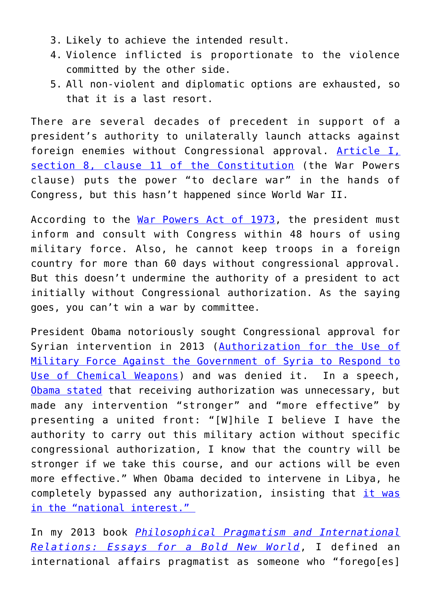- 3. Likely to achieve the intended result.
- 4. Violence inflicted is proportionate to the violence committed by the other side.
- 5. All non-violent and diplomatic options are exhausted, so that it is a last resort.

There are several decades of precedent in support of a president's authority to unilaterally launch attacks against foreign enemies without Congressional approval. [Article I,](http://press-pubs.uchicago.edu/founders/tocs/a1_8_1.html) [section 8, clause 11 of the Constitution](http://press-pubs.uchicago.edu/founders/tocs/a1_8_1.html) (the War Powers clause) puts the power "to declare war" in the hands of Congress, but this hasn't happened since World War II.

According to the [War Powers Act of 1973](https://en.wikipedia.org/wiki/War_Powers_Resolution), the president must inform and consult with Congress within 48 hours of using military force. Also, he cannot keep troops in a foreign country for more than 60 days without congressional approval. But this doesn't undermine the authority of a president to act initially without Congressional authorization. As the saying goes, you can't win a war by committee.

President Obama notoriously sought Congressional approval for Syrian intervention in 2013 ([Authorization for the Use of](https://en.wikipedia.org/wiki/Authorization_for_the_Use_of_Military_Force_Against_the_Government_of_Syria_to_Respond_to_Use_of_Chemical_Weapons) [Military Force Against the Government of Syria to Respond to](https://en.wikipedia.org/wiki/Authorization_for_the_Use_of_Military_Force_Against_the_Government_of_Syria_to_Respond_to_Use_of_Chemical_Weapons) [Use of Chemical Weapons](https://en.wikipedia.org/wiki/Authorization_for_the_Use_of_Military_Force_Against_the_Government_of_Syria_to_Respond_to_Use_of_Chemical_Weapons)) and was denied it. In a speech, [Obama stated](http://www.nytimes.com/2013/09/01/world/middleeast/text-of-president-obamas-remarks-on-syria.html?ref=middleeast&_r=0) that receiving authorization was unnecessary, but made any intervention "stronger" and "more effective" by presenting a united front: "[W]hile I believe I have the authority to carry out this military action without specific congressional authorization, I know that the country will be stronger if we take this course, and our actions will be even more effective." When Obama decided to intervene in Libya, he completely bypassed any authorization, insisting that [it was](https://obamawhitehouse.archives.gov/the-press-office/2011/03/28/remarks-president-address-nation-libya) [in the "national interest."](https://obamawhitehouse.archives.gov/the-press-office/2011/03/28/remarks-president-address-nation-libya) 

In my 2013 book *[Philosophical Pragmatism and International](https://rowman.com/ISBN/9780739168257) [Relations: Essays for a Bold New World](https://rowman.com/ISBN/9780739168257)*, I defined an international affairs pragmatist as someone who "forego[es]